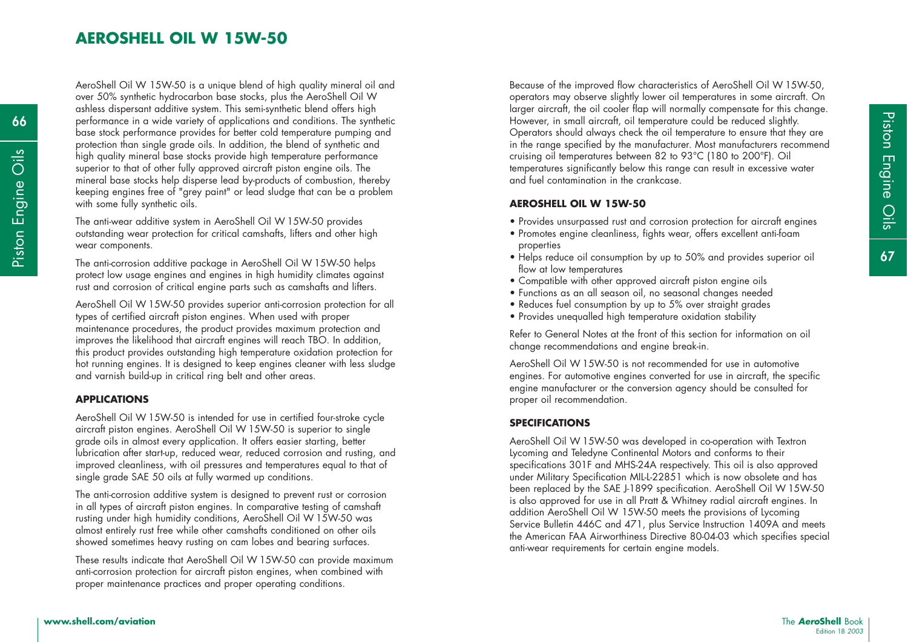# **AEROSHELL OIL W 15W-50**

AeroShell Oil W 15W-50 is a unique blend of high quality mineral oil and over 50% synthetic hydrocarbon base stocks, plus the AeroShell Oil W ashless dispersant additive system. This semi-synthetic blend offers high performance in a wide variety of applications and conditions. The synthetic base stock performance provides for better cold temperature pumping and protection than single grade oils. In addition, the blend of synthetic and high quality mineral base stocks provide high temperature performance superior to that of other fully approved aircraft piston engine oils. The mineral base stocks help disperse lead by-products of combustion, thereby keeping engines free of "grey paint" or lead sludge that can be a problem with some fully synthetic oils. From the stock provide high temperature performance<br>
superior to that of other fully approved aircriting engines significantly below this range can result in excessive water<br>
Commercial base stocks help disperse lead by-p

The anti-wear additive system in AeroShell Oil W 15W-50 provides outstanding wear protection for critical camshafts, lifters and other high wear components.

The anti-corrosion additive package in AeroShell Oil W 15W-50 helps protect low usage engines and engines in high humidity climates against rust and corrosion of critical engine parts such as camshafts and lifters.

AeroShell Oil W 15W-50 provides superior anti-corrosion protection for all types of certified aircraft piston engines. When used with proper maintenance procedures, the product provides maximum protection and improves the likelihood that aircraft engines will reach TBO. In addition, this product provides outstanding high temperature oxidation protection for hot running engines. It is designed to keep engines cleaner with less sludge and varnish build-up in critical ring belt and other areas.

### **APPLICATIONS**

AeroShell Oil W 15W-50 is intended for use in certified four-stroke cycle aircraft piston engines. AeroShell Oil W 15W-50 is superior to single grade oils in almost every application. It offers easier starting, better lubrication after start-up, reduced wear, reduced corrosion and rusting, and improved cleanliness, with oil pressures and temperatures equal to that of single grade SAE 50 oils at fully warmed up conditions.

The anti-corrosion additive system is designed to prevent rust or corrosion in all types of aircraft piston engines. In comparative testing of camshaft rusting under high humidity conditions, AeroShell Oil W 15W-50 was almost entirely rust free while other camshafts conditioned on other oils showed sometimes heavy rusting on cam lobes and bearing surfaces.

These results indicate that AeroShell Oil W 15W-50 can provide maximum anti-corrosion protection for aircraft piston engines, when combined with proper maintenance practices and proper operating conditions.

Because of the improved flow characteristics of AeroShell Oil W 15W-50, operators may observe slightly lower oil temperatures in some aircraft. On larger aircraft, the oil cooler flap will normally compensate for this change. However, in small aircraft, oil temperature could be reduced slightly. Operators should always check the oil temperature to ensure that they are in the range specified by the manufacturer. Most manufacturers recommend cruising oil temperatures between 82 to 93°C (180 to 200°F). Oil temperatures significantly below this range can result in excessive water and fuel contamination in the crankcase.

### **AEROSHELL OIL W 15W-50**

- Provides unsurpassed rust and corrosion protection for aircraft engines
- Promotes engine cleanliness, fights wear, offers excellent anti-foam properties
- Helps reduce oil consumption by up to 50% and provides superior oil flow at low temperatures
- Compatible with other approved aircraft piston engine oils
- Functions as an all season oil, no seasonal changes needed
- Reduces fuel consumption by up to 5% over straight grades
- Provides unequalled high temperature oxidation stability

Refer to General Notes at the front of this section for information on oil change recommendations and engine break-in.

AeroShell Oil W 15W-50 is not recommended for use in automotive engines. For automotive engines converted for use in aircraft, the specific engine manufacturer or the conversion agency should be consulted for proper oil recommendation.

#### **SPECIFICATIONS**

AeroShell Oil W 15W-50 was developed in co-operation with Textron Lycoming and Teledyne Continental Motors and conforms to their specifications 301F and MHS-24A respectively. This oil is also approved under Military Specification MIL-L-22851 which is now obsolete and has been replaced by the SAE J-1899 specification. AeroShell Oil W 15W-50 is also approved for use in all Pratt & Whitney radial aircraft engines. In addition AeroShell Oil W 15W-50 meets the provisions of Lycoming Service Bulletin 446C and 471, plus Service Instruction 1409A and meets the American FAA Airworthiness Directive 80-04-03 which specifies special anti-wear requirements for certain engine models.

**66**

Piston Engine Oils